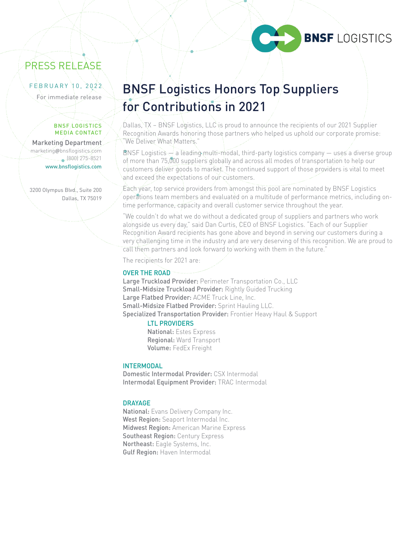

# PRESS RELEASE

#### FEBRUARY 10, 2022

#### BNSF LOGISTICS MEDIA CONTACT

Marketing Department marketing@bnsflogistics.com (800) 275-8521 www.bnsflogistics.com

3200 Olympus Blvd., Suite 200 Dallas, TX 75019

# EBRUARY 10, 2022 BNSF Logistics Honors Top Suppliers for Contributions in 2021

Dallas, TX – BNSF Logistics, LLC is proud to announce the recipients of our 2021 Supplier Recognition Awards honoring those partners who helped us uphold our corporate promise: "We Deliver What Matters."

 $BNSF$  Logistics  $\rightarrow$  a leading multi-modal, third-party logistics company  $\rightarrow$  uses a diverse group of more than 75,000 suppliers globally and across all modes of transportation to help our customers deliver goods to market. The continued support of those providers is vital to meet and exceed the expectations of our customers.

Each year, top service providers from amongst this pool are nominated by BNSF Logistics operations team members and evaluated on a multitude of performance metrics, including ontime performance, capacity and overall customer service throughout the year.

"We couldn't do what we do without a dedicated group of suppliers and partners who work alongside us every day," said Dan Curtis, CEO of BNSF Logistics. "Each of our Supplier Recognition Award recipients has gone above and beyond in serving our customers during a very challenging time in the industry and are very deserving of this recognition. We are proud to call them partners and look forward to working with them in the future."

The recipients for 2021 are:

#### OVER THE ROAD

Large Truckload Provider: Perimeter Transportation Co., LLC Small-Midsize Truckload Provider: Rightly Guided Trucking Large Flatbed Provider: ACME Truck Line, Inc. Small-Midsize Flatbed Provider: Sprint Hauling LLC. Specialized Transportation Provider: Frontier Heavy Haul & Support

#### LTL PROVIDERS

National: Estes Express Regional: Ward Transport Volume: FedEx Freight

## **INTERMODAL**

Domestic Intermodal Provider: CSX Intermodal Intermodal Equipment Provider: TRAC Intermodal

#### DRAYAGE

National: Evans Delivery Company Inc. West Region: Seaport Intermodal Inc. Midwest Region: American Marine Express Southeast Region: Century Express Northeast: Eagle Systems, Inc. Gulf Region: Haven Intermodal